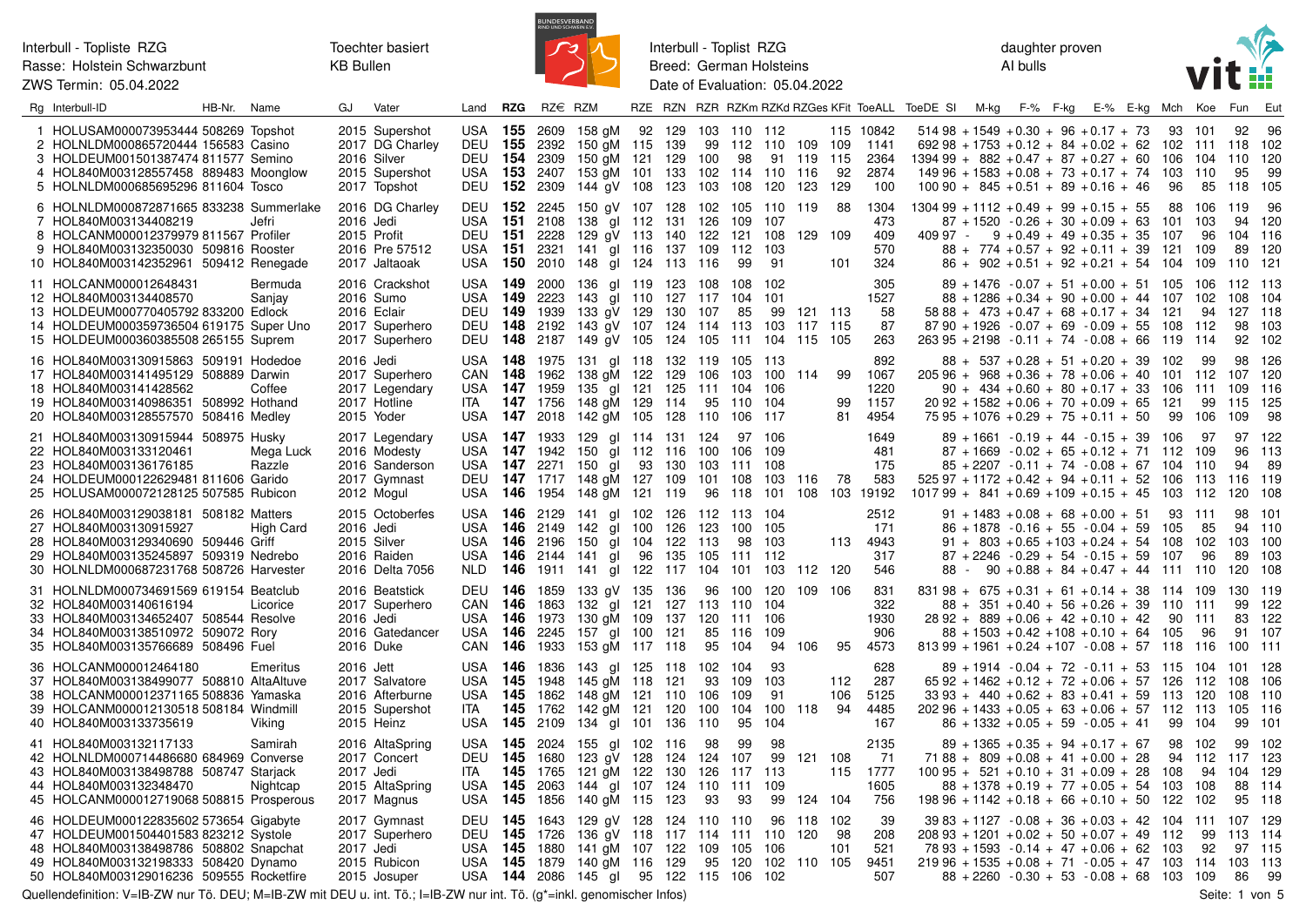

Interbull - Toplist RZG Breed: German Holsteins Date of Evaluation: 05.04.2022 daughter proven AI bulls



| Rg Interbull-ID                                                                                                                                                                                               | HB-Nr. Name |                     | GJ        | Vater                                                                              | Land                                                                        | <b>RZG</b>           | RZ€ RZM                                         |                                                                                                                                |               |                                |                                         |                                        |                               |                         |                                          | RZE RZN RZR RZKm RZKd RZGes KFit ToeALL ToeDE SI M-kg F-% F-kg                                                                                                                                                      |                                                                                                                                                                                                               |  | E-% E-kg Mch Koe |                    |                                          | Fun                                   | Eut                                |
|---------------------------------------------------------------------------------------------------------------------------------------------------------------------------------------------------------------|-------------|---------------------|-----------|------------------------------------------------------------------------------------|-----------------------------------------------------------------------------|----------------------|-------------------------------------------------|--------------------------------------------------------------------------------------------------------------------------------|---------------|--------------------------------|-----------------------------------------|----------------------------------------|-------------------------------|-------------------------|------------------------------------------|---------------------------------------------------------------------------------------------------------------------------------------------------------------------------------------------------------------------|---------------------------------------------------------------------------------------------------------------------------------------------------------------------------------------------------------------|--|------------------|--------------------|------------------------------------------|---------------------------------------|------------------------------------|
| 1 HOLUSAM000073953444 508269 Topshot<br>2 HOLNLDM000865720444 156583 Casino<br>3 HOLDEUM001501387474 811577 Semino<br>4 HOL840M003128557458 889483 Moonglow<br>5 HOLNLDM000685695296 811604 Tosco             |             |                     |           | 2015 Supershot<br>2017 DG Charley<br>2016 Silver<br>2015 Supershot<br>2017 Topshot | <b>USA 155</b><br><b>DEU 155</b><br><b>DEU 154</b><br>USA<br><b>DEU 152</b> | 153                  | 2609<br>2392<br>2309<br>2407<br>2309            | 158 gM 92 129<br>150 gM 115 139<br>150 gM 121<br>153 aM 101<br>144 gV 108 123                                                  | 129<br>133    | 103<br>99<br>100<br>102<br>103 | 110 112<br>98<br>114<br>108             | 112 110 109<br>110<br>120              | 91 119<br>116<br>123          | 109<br>115<br>92<br>129 | 115 10842<br>1141<br>2364<br>2874<br>100 | $51498 + 1549 + 0.30 + 96 + 0.17 + 73$<br>$69298 + 1753 + 0.12 + 84 + 0.02 + 62$<br>$139499 + 882 + 0.47 + 87 + 0.27 + 60$<br>$14996 + 1583 + 0.08 + 73 + 0.17 + 74$ 103<br>$100\,90 + 845 + 0.51 + 89 + 0.16 + 46$ |                                                                                                                                                                                                               |  |                  | 93<br>106<br>96    | - 101<br>102 111 118<br>104<br>110<br>85 | 92<br>110<br>95<br>118                | 96<br>102<br>120<br>99<br>105      |
| 6 HOLNLDM000872871665 833238 Summerlake<br>7 HOL840M003134408219<br>8 HOLCANM000012379979 811567 Profiler<br>9 HOL840M003132350030 509816 Rooster<br>10 HOL840M003142352961 509412 Renegade                   |             | Jefri               | 2016 Jedi | 2016 DG Charley<br>2015 Profit<br>2016 Pre 57512<br>2017 Jaltaoak                  | <b>DEU 152</b><br>USA<br><b>DEU 151</b><br>USA<br>USA                       | 151<br>- 151         | 2245<br>2108<br>2228<br>2321<br><b>150</b> 2010 | 150 gV 107 128<br>138 gl 112 131<br>129 gV 113 140<br>141 gl 116 137 109<br>148 gl 124 113                                     |               | 102<br>126<br>122<br>116       | 109<br>121<br>112<br>99                 | 105 110 119<br>107<br>108<br>103<br>91 | 129 109                       | 88<br>101               | 1304<br>473<br>409<br>570<br>324         | $130499 + 1112 + 0.49 + 99 + 0.15 + 55$<br>409 97 -                                                                                                                                                                 | $87 + 1520 - 0.26 + 30 + 0.09 + 63$<br>$9 + 0.49 + 49 + 0.35 + 35$<br>$88 + 774 + 0.57 + 92 + 0.11 + 39$ 121<br>$86 + 902 + 0.51 + 92 + 0.21 + 54$ 104                                                        |  |                  | 88<br>101<br>- 107 | 106<br>103<br>96<br>109<br>109           | 119<br>94<br>104<br>89<br>110         | 96<br>120<br>116<br>120<br>121     |
| 11 HOLCANM000012648431<br>12 HOL840M003134408570<br>13 HOLDEUM000770405792 833200 Edlock<br>14 HOLDEUM000359736504 619175 Super Uno<br>15 HOLDEUM000360385508 265155 Suprem                                   |             | Bermuda<br>Sanjay   |           | 2016 Crackshot<br>2016 Sumo<br>2016 Eclair<br>2017 Superhero<br>2017 Superhero     | USA <b>149</b><br>USA<br><b>DEU 149</b><br><b>DEU 148</b><br><b>DEU 148</b> | 149                  | 2000<br>2223<br>1939<br>2192                    | 136 gl 119 123<br>143 gl 110 127 117<br>133 gV 129 130<br>143 gV 107 124 114<br>2187 149 gV 105 124 105                        |               | 108<br>107                     | 108<br>104<br>85<br>113<br>111 104      | 102<br>-101<br>99<br>103               | 121 113<br>117 115<br>115 105 |                         | 305<br>1527<br>58<br>87<br>263           | $87\,90 + 1926 - 0.07 + 69 - 0.09 + 55$ 108<br>$26395 + 2198 - 0.11 + 74 - 0.08 + 66$ 119 114                                                                                                                       | $89 + 1476 - 0.07 + 51 + 0.00 + 51$ 105 106<br>$88 + 1286 + 0.34 + 90 + 0.00 + 44$ 107<br>$5888 + 473 + 0.47 + 68 + 0.17 + 34$ 121                                                                            |  |                  |                    | - 102<br>94<br>- 112                     | 112<br>108<br>127<br>98<br>92         | - 113<br>104<br>118<br>103<br>102  |
| 16 HOL840M003130915863 509191 Hodedoe<br>17 HOL840M003141495129 508889 Darwin<br>18 HOL840M003141428562<br>19 HOL840M003140986351 508992 Hothand<br>20 HOL840M003128557570 508416 Medley                      |             | Coffee              | 2016 Jedi | 2017 Superhero<br>2017 Legendary<br>2017 Hotline<br>2015 Yoder                     | USA 148<br>CAN 148<br>USA 147 1959<br>ITA<br>USA 147 2018                   |                      | 1975<br>1962<br>147 1756                        | 131 gl 118 132 119<br>138 gM 122<br>135 gl 121 125<br>148 gM 129 114<br>142 gM 105 128 110                                     | 129           | 106<br>111<br>95               | 105<br>103<br>104<br>110<br>106         | -113<br>100 114<br>106<br>104<br>117   |                               | 99<br>99<br>81          | 892<br>1067<br>1220<br>1157<br>4954      | $20596 + 968 + 0.36 + 78 + 0.06 + 40$ 101 112<br>$2092 + 1582 + 0.06 + 70 + 0.09 + 65$<br>$7595 + 1076 + 0.29 + 75 + 0.11 + 50$                                                                                     | $88 + 537 + 0.28 + 51 + 0.20 + 39$ 102<br>$90 + 434 + 0.60 + 80 + 0.17 + 33$                                                                                                                                  |  |                  | 106<br>121<br>99   | 99<br>111<br>99<br>106                   | 98<br>107<br>109<br>115<br>109        | 126<br>120<br>116<br>125<br>98     |
| 21 HOL840M003130915944 508975 Husky<br>22 HOL840M003133120461<br>23 HOL840M003136176185<br>24 HOLDEUM000122629481 811606 Garido<br>25 HOLUSAM000072128125 507585 Rubicon                                      |             | Mega Luck<br>Razzle |           | 2017 Legendary<br>2016 Modesty<br>2016 Sanderson<br>2017 Gymnast<br>2012 Mogul     | USA 147 1933<br>USA 147 1942<br>USA<br>USA                                  | - 147<br>146         | 2271                                            | 129 gl 114 131 124<br>150 gl 112 116<br>150 gl 93<br>DEU 147 1717 148 gM 127 109<br>1954 148 gM 121 119                        | 130           | 100<br>103<br>101<br>96        | 106<br>111<br>108<br>118                | 97 106<br>109<br>108<br>103<br>101     | 116<br>108                    | 78<br>103               | 1649<br>481<br>175<br>583<br>19192       | $525.97 + 1172 + 0.42 + 94 + 0.11 + 52$ 106<br>$101799 + 841 + 0.69 + 109 + 0.15 + 45$ 103 112                                                                                                                      | $89 + 1661 - 0.19 + 44 - 0.15 + 39$ 106<br>$87 + 1669 - 0.02 + 65 + 0.12 + 71$ 112 109<br>$85 + 2207 - 0.11 + 74 - 0.08 + 67$ 104                                                                             |  |                  |                    | 97<br>110<br>113                         | 97<br>96<br>94<br>116<br>120          | 122<br>113<br>-89<br>119<br>108    |
| 26 HOL840M003129038181 508182 Matters<br>27 HOL840M003130915927<br>28 HOL840M003129340690 509446 Griff<br>29 HOL840M003135245897 509319 Nedrebo<br>30 HOLNLDM000687231768 508726 Harvester                    |             | High Card           | 2016 Jedi | 2015 Octoberfes<br>2015 Silver<br>2016 Raiden<br>2016 Delta 7056                   | USA 146 2129<br>USA<br>USA<br>USA.<br>NLD                                   | 146<br>- 146         | 2149<br>2196                                    | 141 gl 102 126 112 113 104<br>142 gl 100<br>150 gl 104 122<br><b>146</b> 2144 141 gl<br><b>146</b> 1911 141 gl 122 117 104     | 126<br>96 135 | 123<br>113<br>105              | 100<br>98<br>111<br>101                 | 105<br>103<br>112<br>103               | 112 120                       |                         | 2512<br>171<br>113 4943<br>317<br>546    |                                                                                                                                                                                                                     | $91 + 1483 + 0.08 + 68 + 0.00 + 51$<br>$86 + 1878 - 0.16 + 55 - 0.04 + 59$ 105<br>$91 + 803 + 0.65 + 103 + 0.24 + 54$ 108<br>$87 + 2246 - 0.29 + 54 - 0.15 + 59$<br>$88 - 90 + 0.88 + 84 + 0.47 + 44$ 111 110 |  |                  | 93 111<br>107      | 85<br>102<br>96                          | 98<br>94<br>103<br>89<br>120          | 101<br>110<br>100<br>103<br>108    |
| 31 HOLNLDM000734691569 619154 Beatclub<br>32 HOL840M003140616194<br>33 HOL840M003134652407 508544 Resolve<br>34 HOL840M003138510972 509072 Rory<br>35 HOL840M003135766689 508496 Fuel                         |             | Licorice            | 2016 Jedi | 2016 Beatstick<br>2017 Superhero<br>2016 Gatedancer<br>2016 Duke                   | <b>DEU 146</b><br>CAN 146<br>USA <b>146</b><br>USA <b>146</b><br>CAN        | 146                  | 1859<br>1863<br>1973<br>2245<br>1933            | 133 gV 135 136<br>132 gl 121<br>130 gM 109 137<br>157 gl 100<br>153 gM 117 118                                                 | 127<br>121    | 96<br>120<br>85<br>95          | 100<br>113 110 104<br>111<br>116<br>104 | 120<br>106<br>109<br>94                | 109 106<br>106                | 95                      | 831<br>322<br>1930<br>906<br>4573        | $831\,98 + 675 + 0.31 + 61 + 0.14 + 38$ 114 109<br>$81399 + 1961 + 0.24 + 107 - 0.08 + 57$ 118                                                                                                                      | $88 + 351 + 0.40 + 56 + 0.26 + 39$ 110<br>$2892 + 889 + 0.06 + 42 + 0.10 + 42$<br>$88 + 1503 + 0.42 + 108 + 0.10 + 64$ 105                                                                                    |  |                  | 90                 | -111<br>111<br>96<br>- 116               | 130<br>99<br>83<br>91<br>100          | -119<br>122<br>122<br>107<br>- 111 |
| 36 HOLCANM000012464180<br>37 HOL840M003138499077 508810 AltaAltuve<br>38 HOLCANM000012371165 508836 Yamaska<br>39 HOLCANM000012130518 508184 Windmill<br>40 HOL840M003133735619                               |             | Emeritus<br>Viking  | 2016 Jett | 2017 Salvatore<br>2016 Afterburne<br>2015 Supershot<br>2015 Heinz                  | USA <b>146</b><br>USA<br>USA<br>ITA<br>USA 145 2109                         | - 145<br>-145<br>145 | 1836<br>1948<br>1862<br>1762                    | 143 gl 125 118<br>145 gM 118 121<br>148 gM 121 110<br>142 gM 121 120<br>134 gl 101 136                                         |               | 102<br>93<br>106<br>100<br>110 | 104<br>109<br>109<br>104<br>95          | 93<br>103<br>91<br>100 118<br>104      |                               | 112<br>106<br>94        | 628<br>287<br>5125<br>4485<br>167        | $33\,93 + 440 + 0.62 + 83 + 0.41 + 59$ 113<br>$20296 + 1433 + 0.05 + 63 + 0.06 + 57$ 112 113                                                                                                                        | $89 + 1914 - 0.04 + 72 - 0.11 + 53$ 115 104<br>$6592 + 1462 + 0.12 + 72 + 0.06 + 57$ 126 112<br>$86 + 1332 + 0.05 + 59 - 0.05 + 41$                                                                           |  |                  | 99                 | - 120<br>104                             | 101<br>108<br>108<br>105<br>99        | 128<br>106<br>110<br>116<br>101    |
| 41 HOL840M003132117133<br>42 HOLNLDM000714486680 684969 Converse<br>43 HOL840M003138498788 508747 Starjack<br>44 HOL840M003132348470<br>45 HOLCANM000012719068 508815 Prosperous                              |             | Samirah<br>Nightcap | 2017 Jedi | 2016 AltaSpring<br>2017 Concert<br>2015 AltaSpring<br>2017 Magnus                  | USA 145 2024<br><b>DEU 145</b><br><b>ITA</b><br>USA<br><b>USA 145</b>       | 145<br>145           | 1680<br>1765<br>2063<br>1856                    | 155 gl 102 116<br>123 gV 128<br>121 aM 122<br>144 gl 107 124 110<br>140 gM 115 123                                             | 124<br>130    | 98<br>124<br>126<br>93         | 99<br>107<br>117 113<br>111<br>93       | 98<br>99<br>109<br>99                  | 121 108<br>124 104            | 115                     | 2135<br>- 71<br>1777<br>1605<br>756      | $7188 + 809 + 0.08 + 41 + 0.00 + 28$<br>$10095 + 521 + 0.10 + 31 + 0.09 + 28$<br>$19896 + 1142 + 0.18 + 66 + 0.10 + 50$ 122                                                                                         | $89 + 1365 + 0.35 + 94 + 0.17 + 67$<br>$88 + 1378 + 0.19 + 77 + 0.05 + 54$ 103 108                                                                                                                            |  |                  | 98 102<br>108      | 94 112<br>94<br>102                      | 99<br>117<br>104<br>88<br>95          | 102<br>- 123<br>129<br>114<br>118  |
| 46 HOLDEUM000122835602 573654 Gigabyte<br>47 HOLDEUM001504401583 823212 Systole<br>48 HOL840M003138498786 508802 Snapchat<br>49 HOL840M003132198333 508420 Dynamo<br>50 HOL840M003129016236 509555 Rocketfire |             |                     | 2017 Jedi | 2017 Gymnast<br>2017 Superhero<br>2015 Rubicon<br>2015 Josuper                     | <b>DEU 145</b><br><b>DEU 145</b><br>USA<br><b>USA 145</b>                   | - 145                | 1643<br>1726<br>1880<br>1879                    | 129 aV 128 124 110 110<br>136 gV 118 117 114 111 110<br>141 gM 107 122<br>140 gM 116 129<br>USA 144 2086 145 gl 95 122 115 106 |               | 109<br>95                      | 105<br>120                              | 106<br>102<br>102                      | 96 118 102<br>120<br>110 105  | 98<br>101               | 39<br>208<br>521<br>9451<br>507          | $3983 + 1127 - 0.08 + 36 + 0.03 + 42$ 104 111<br>$20893 + 1201 + 0.02 + 50 + 0.07 + 49$ 112<br>$7893 + 1593 - 0.14 + 47 + 0.06 + 62$ 103<br>$21996 + 1535 + 0.08 + 71 - 0.05 + 47$ 103 114                          | $88 + 2260 - 0.30 + 53 - 0.08 + 68$ 103                                                                                                                                                                       |  |                  |                    | 99<br>92<br>109                          | 107<br>113<br>97 115<br>103 113<br>86 | -129<br>114<br>99                  |

Quellendefinition: V=IB-ZW nur Tö. DEU; M=IB-ZW mit DEU u. int. Tö.; I=IB-ZW nur int. Tö. (g\*=inkl. genomischer Infos) Seite: 1 von 5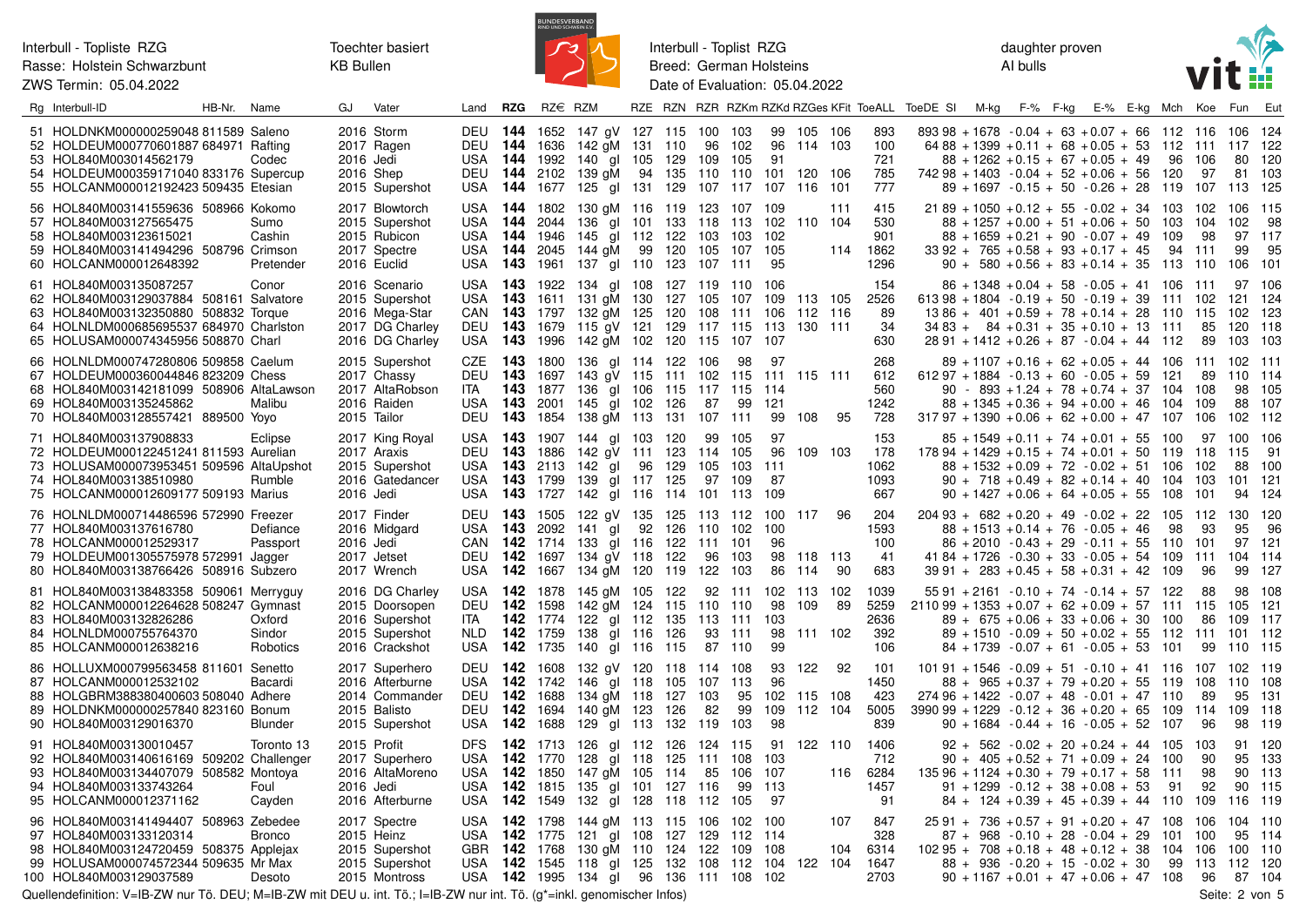Toechter basiert **KB Bullen** 



Interbull - Toplist RZG Breed: German Holsteins Date of Evaluation: 05.04.2022 daughter proven Al bulls



| Rg Interbull-ID                                                                                                                                                                             | HB-Nr. | Name                         | GJ        | Vater                                                                                   | Land                                                 | <b>RZG</b>                                                            | $RZ \in RZM$                            |                                                                                                                  |        |                                      |                                |                               |                                           |                                          |            |                                    | RZE RZN RZR RZKm RZKd RZGes KFit ToeALL ToeDE SI M-kg F-% F-kg |  | E-% E-kg Mch                                                                                                                                                                                                                |                       | Koe                            | Fun                              | Eut                               |
|---------------------------------------------------------------------------------------------------------------------------------------------------------------------------------------------|--------|------------------------------|-----------|-----------------------------------------------------------------------------------------|------------------------------------------------------|-----------------------------------------------------------------------|-----------------------------------------|------------------------------------------------------------------------------------------------------------------|--------|--------------------------------------|--------------------------------|-------------------------------|-------------------------------------------|------------------------------------------|------------|------------------------------------|----------------------------------------------------------------|--|-----------------------------------------------------------------------------------------------------------------------------------------------------------------------------------------------------------------------------|-----------------------|--------------------------------|----------------------------------|-----------------------------------|
| 51 HOLDNKM000000259048 811589 Saleno<br>52 HOLDEUM000770601887 684971 Rafting<br>53 HOL840M003014562179<br>54 HOLDEUM000359171040 833176 Supercup<br>55 HOLCANM000012192423 509435 Etesian  |        | Codec                        | 2016 Jedi | 2016 Storm<br>2017 Ragen<br>2016 Shep<br>2015 Supershot                                 | USA<br><b>USA</b>                                    | DEU 144 1636<br>DEU 144 2102                                          | <b>144</b> 1992<br><b>144</b> 1677      | DEU 144 1652 147 gV 127 115<br>142 gM 131<br>140 gl 105<br>139 gM<br>125 gl 131 129 107 117                      | 94     | 110<br>129<br>135                    | 100 103<br>96<br>109<br>110    | 102<br>105<br>110             | 99<br>96<br>91<br>101<br>107              | 105 106<br>114 103<br>120 106<br>116 101 |            | 893<br>100<br>721<br>785<br>777    |                                                                |  | $893.98 + 1678 - 0.04 + 63 + 0.07 + 66$ 112 116<br>$6488 + 1399 + 0.11 + 68 + 0.05 + 53$ 112<br>$88 + 1262 + 0.15 + 67 + 0.05 + 49$<br>$74298 + 1403 - 0.04 + 52 + 0.06 + 56$<br>$89 + 1697 - 0.15 + 50 - 0.26 + 28$ 119    | 96<br>120             | 111<br>106<br>97<br>107        | 106<br>117<br>80<br>81<br>113    | -124<br>122<br>120<br>103<br>125  |
| 56 HOL840M003141559636 508966 Kokomo<br>57 HOL840M003127565475<br>58 HOL840M003123615021<br>59 HOL840M003141494296 508796 Crimson<br>60 HOLCANM000012648392                                 |        | Sumo<br>Cashin<br>Pretender  |           | 2017 Blowtorch<br>2015 Supershot<br>2015 Rubicon<br>2017 Spectre<br>2016 Euclid         | <b>USA</b><br>USA<br>USA.<br>USA                     | <b>144</b> 1802<br><b>144</b> 2044<br>USA 144 1946<br><b>144</b> 2045 |                                         | 130 aM 116<br>136 gl 101 133 118 113 102<br>145 gl 112 122<br>144 aM<br><b>143</b> 1961 137 gl 110 123 107 111   | 99     | 120                                  | 103<br>105                     | 119 123 107 109<br>103<br>107 | 102<br>105<br>- 95                        | 110 104                                  | 111<br>114 | 415<br>530<br>901<br>1862<br>1296  |                                                                |  | $2189 + 1050 + 0.12 + 55 - 0.02 + 34$ 103<br>$88 + 1257 + 0.00 + 51 + 0.06 + 50$ 103<br>$88 + 1659 + 0.21 + 90 - 0.07 + 49$<br>$33\,92 + 765 + 0.58 + 93 + 0.17 + 45$<br>$90 + 580 + 0.56 + 83 + 0.14 + 35$ 113 110         | 109<br>94             | 102<br>104<br>98<br>-111       | 106<br>102<br>97<br>99<br>106    | 115<br>98<br>117<br>95<br>101     |
| 61 HOL840M003135087257<br>62 HOL840M003129037884 508161 Salvatore<br>63 HOL840M003132350880 508832 Torque<br>64 HOLNLDM000685695537 684970 Charlston<br>65 HOLUSAM000074345956 508870 Charl |        | Conor                        |           | 2016 Scenario<br>2015 Supershot<br>2016 Mega-Star<br>2017 DG Charley<br>2016 DG Charley | USA<br>CAN 143<br><b>DEU 143</b><br>USA <b>143</b>   | USA <b>143</b> 1922<br>- 143                                          | 1611<br>1797<br>1679<br>1996            | 134 gl 108 127 119 110 106<br>131 gM 130<br>132 gM 125<br>115 aV 121 129 117 115<br>142 gM 102 120 115           |        | 127 105<br>120                       | 108                            | 107<br>111<br>107             | 109<br>106<br>- 113<br>107                | 113 105<br>112 116<br>130 111            |            | 154<br>2526<br>89<br>34<br>630     |                                                                |  | $86 + 1348 + 0.04 + 58 - 0.05 + 41$ 106 111<br>$61398 + 1804 - 0.19 + 50 - 0.19 + 39$ 111<br>$13\,86 + 401 + 0.59 + 78 + 0.14 + 28$<br>$3483 + 84 + 0.31 + 35 + 0.10 + 13$ 111<br>$2891 + 1412 + 0.26 + 87 - 0.04 + 44$ 112 | 110                   | 102<br>115<br>85<br>89         | 97<br>121<br>102<br>120<br>103   | 106<br>124<br>123<br>118<br>103   |
| 66 HOLNLDM000747280806 509858 Caelum<br>67 HOLDEUM000360044846 823209 Chess<br>68 HOL840M003142181099 508906 AltaLawson<br>69 HOL840M003135245862<br>70 HOL840M003128557421 889500 Yoyo     |        | Malibu                       |           | 2015 Supershot<br>2017 Chassy<br>2017 AltaRobson<br>2016 Raiden<br>2015 Tailor          | CZE<br>DEU<br>ITA.<br>USA.<br>DEU                    | - 143<br>143<br>143<br><b>143</b> 2001<br>- 143                       | 1800<br>1697<br>1854                    | 136 gl 114 122<br>143 gV 115<br>1877 136 al 106<br>145 gl 102<br>138 gM 113                                      |        | 111 102<br>115 117 115<br>126<br>131 | 106<br>87<br>107 111           | 98<br>115<br>99               | 97<br>- 111<br>- 114<br>121<br>99         | 115 111<br>108                           | 95         | 268<br>612<br>560<br>1242<br>728   |                                                                |  | $89 + 1107 + 0.16 + 62 + 0.05 + 44$ 106<br>$61297 + 1884 - 0.13 + 60 - 0.05 + 59$<br>$90 - 893 + 1.24 + 78 + 0.74 + 37$ 104<br>$88 + 1345 + 0.36 + 94 + 0.00 + 46$<br>$31797 + 1390 + 0.06 + 62 + 0.00 + 47$                | - 121<br>- 104<br>107 | 111<br>89<br>108<br>109<br>106 | 102<br>110<br>98<br>88<br>102    | -111<br>114<br>105<br>107<br>112  |
| 71 HOL840M003137908833<br>72 HOLDEUM000122451241 811593 Aurelian<br>73 HOLUSAM000073953451 509596 AltaUpshot<br>74 HOL840M003138510980<br>75 HOLCANM000012609177 509193 Marius              |        | Eclipse<br>Rumble            | 2016 Jedi | 2017 King Royal<br>2017 Araxis<br>2015 Supershot<br>2016 Gatedancer                     | USA<br><b>DEU 143</b><br>USA.<br>USA 143 1799        | <b>143</b> 1907<br><b>143</b> 2113                                    |                                         | 144 gl 103<br>1886 142 gV 111 123 114 105<br>142 gl<br>139 gl 117 125<br>USA 143 1727 142 gl 116 114 101 113 109 | 96     | 120<br>129                           | 99<br>105<br>97                | 105<br>103<br>109             | 97<br>96<br>111<br>87                     | 109 103                                  |            | 153<br>178<br>1062<br>1093<br>667  |                                                                |  | $85 + 1549 + 0.11 + 74 + 0.01 + 55$ 100<br>$17894 + 1429 + 0.15 + 74 + 0.01 + 50$ 119<br>$88 + 1532 + 0.09 + 72 - 0.02 + 51$ 106<br>$90 + 718 + 0.49 + 82 + 0.14 + 40$ 104<br>$90 + 1427 + 0.06 + 64 + 0.05 + 55$ 108       |                       | 97<br>118<br>102<br>103<br>101 | 100<br>115<br>88<br>101<br>94    | 106<br>-91<br>100<br>121<br>124   |
| 76 HOLNLDM000714486596 572990 Freezer<br>77 HOL840M003137616780<br>78 HOLCANM000012529317<br>79 HOLDEUM001305575978 572991 Jagger<br>80 HOL840M003138766426 508916 Subzero                  |        | Defiance<br>Passport         | 2016 Jedi | 2017 Finder<br>2016 Midgard<br>2017 Jetset<br>2017 Wrench                               | USA<br><b>DEU 142</b><br>USA                         | DEU 143<br>143<br>CAN 142 1714<br><b>142</b> 1667                     | 2092<br>1697                            | 1505 122 gV 135 125 113 112<br>141 gl<br>133 gl 116<br>134 gV 118 122<br>134 gM 120                              | 92     | 126<br>122<br>119                    | 110<br>-111<br>96<br>122       | 102<br>101<br>103<br>103      | 100<br>100<br>96<br>98<br>86              | 117<br>118 113<br>114                    | 96<br>90   | 204<br>1593<br>100<br>41<br>683    |                                                                |  | $20493 + 682 + 0.20 + 49 - 0.02 + 22$ 105 112<br>$88 + 1513 + 0.14 + 76 - 0.05 + 46$<br>$86 + 2010 - 0.43 + 29 - 0.11 + 55$ 110<br>$41\,84 + 1726 - 0.30 + 33 - 0.05 + 54$ 109<br>$39\,91 + 283 + 0.45 + 58 + 0.31 + 42$    | 98<br>- 109           | 93<br>101<br>111<br>96         | 130<br>95<br>97<br>104 114<br>99 | 120<br>96<br>121<br>127           |
| 81 HOL840M003138483358 509061 Merryguy<br>82 HOLCANM000012264628 508247 Gymnast<br>83 HOL840M003132826286<br>84 HOLNLDM000755764370<br>85 HOLCANM000012638216                               |        | Oxford<br>Sindor<br>Robotics |           | 2016 DG Charley<br>2015 Doorsopen<br>2016 Supershot<br>2015 Supershot<br>2016 Crackshot | USA 142 1878<br><b>DEU 142</b><br>ita<br>NLD.<br>USA | 142<br>142                                                            | 1598<br><b>142</b> 1774<br>1759<br>1735 | 145 gM 105<br>142 gM 124<br>122 gl 112<br>138<br>140 gl 116                                                      | gl 116 | 122<br>115<br>135<br>126<br>115      | 110 110<br>113 111<br>93<br>87 | 92 111<br>111<br>110          | 102 <sub>1</sub><br>98<br>103<br>98<br>99 | 113<br>109<br>111 102                    | 102<br>89  | 1039<br>5259<br>2636<br>392<br>106 |                                                                |  | $55\,91 + 2161 - 0.10 + 74 - 0.14 + 57$ 122<br>$211099 + 1353 + 0.07 + 62 + 0.09 + 57$ 111<br>$89 + 675 + 0.06 + 33 + 0.06 + 30$<br>$89 + 1510 - 0.09 + 50 + 0.02 + 55$ 112<br>$84 + 1739 - 0.07 + 61 - 0.05 + 53$          | 100<br>101            | 88<br>-115<br>86<br>-111<br>99 | 98<br>105<br>109<br>101<br>110   | 108<br>121<br>117<br>112<br>115   |
| 86 HOLLUXM000799563458 811601 Senetto<br>87 HOLCANM000012532102<br>88 HOLGBRM388380400603 508040 Adhere<br>89 HOLDNKM000000257840 823160 Bonum<br>90 HOL840M003129016370                    |        | Bacardi<br><b>Blunder</b>    |           | 2017 Superhero<br>2016 Afterburne<br>2014 Commander<br>2015 Balisto<br>2015 Supershot   | <b>DEU 142</b><br><b>DEU 142</b>                     | DEU 142 1608<br>USA 142 1688                                          | USA 142 1742<br>1688<br>1694            | 132 gV 120<br>146 gl 118<br>134 gM 118<br>140 gM 123<br>129 gl 113 132                                           |        | 118 114 108<br>105<br>127<br>126     | 107<br>103<br>82<br>119        | -113<br>95<br>99<br>103       | 93<br>96<br>102 <sub>2</sub><br>109<br>98 | 122<br>115 108<br>112 104                | -92        | 101<br>1450<br>423<br>5005<br>839  |                                                                |  | $10191 + 1546 - 0.09 + 51 - 0.10 + 41$ 116<br>88 + 965 +0.37 + 79 +0.20 + 55 119<br>$27496 + 1422 - 0.07 + 48 - 0.01 + 47$ 110<br>$3990 99 + 1229 - 0.12 + 36 + 0.20 + 65$ 109<br>$90 + 1684 - 0.44 + 16 - 0.05 + 52$ 107   |                       | 107<br>108<br>89<br>114<br>96  | 102<br>110<br>95<br>109<br>98    | -119<br>108<br>131<br>118<br>119  |
| 91 HOL840M003130010457<br>92 HOL840M003140616169 509202 Challenger<br>93 HOL840M003134407079 508582 Montoya<br>94 HOL840M003133743264<br>95 HOLCANM000012371162                             |        | Toronto 13<br>Foul<br>Cayden | 2016 Jedi | 2015 Profit<br>2017 Superhero<br>2016 AltaMoreno<br>2016 Afterburne                     | DFS.<br>USA<br>USA<br>USA<br>USA                     | <b>142</b> 1713<br>142<br>142<br>142<br><b>142</b> 1549               | 1770<br>1850<br>1815                    | 126 gl 112<br>128<br>147 gM 105<br>135 gl 101 127 116<br>132 gl 128                                              | gl 118 | 126<br>125<br>114<br>118             | 124 115<br>-111<br>85<br>112   | 108<br>106<br>99<br>105       | 103<br>107<br>113<br>97                   | 91 122 110                               | 116        | 1406<br>712<br>6284<br>1457<br>91  |                                                                |  | $92 + 562 - 0.02 + 20 + 0.24 + 44$ 105<br>$90 + 405 + 0.52 + 71 + 0.09 + 24$<br>$135\,96 + 1124 + 0.30 + 79 + 0.17 + 58$ 111<br>$91 + 1299 - 0.12 + 38 + 0.08 + 53$<br>$84 + 124 + 0.39 + 45 + 0.39 + 44$                   | 100<br>91<br>110      | 103<br>90<br>98<br>92<br>109   | 91<br>95<br>90<br>90<br>116      | 120<br>133<br>113<br>115<br>119   |
| 96 HOL840M003141494407 508963 Zebedee<br>97 HOL840M003133120314<br>98 HOL840M003124720459 508375 Applejax<br>99 HOLUSAM000074572344 509635 Mr Max<br>100 HOL840M003129037589                |        | <b>Bronco</b><br>Desoto      |           | 2017 Spectre<br>2015 Heinz<br>2015 Supershot<br>2015 Supershot<br>2015 Montross         | USA<br>USA                                           | USA 142 1798<br>142<br>GBR 142 1768                                   | 1775                                    | 144 gM 113<br>121 gl 108<br>130 gM 110<br><b>142</b> 1545 118 gl 125<br>USA 142 1995 134 gl 96 136 111 108 102   |        | 115<br>127<br>124 122<br>132         | 106<br>- 129<br>108            | 102<br>112<br>109<br>112      | 100<br>-114<br>108<br>104                 | 122 104                                  | 107<br>104 | 847<br>328<br>6314<br>1647<br>2703 | $87 +$                                                         |  | $25\,91 + 736 + 0.57 + 91 + 0.20 + 47$ 108<br>$968 - 0.10 + 28 - 0.04 + 29$<br>$10295 + 708 + 0.18 + 48 + 0.12 + 38$<br>$88 + 936 - 0.20 + 15 - 0.02 + 30$<br>$90 + 1167 + 0.01 + 47 + 0.06 + 47$ 108                       | - 101<br>104<br>99    | 106<br>100<br>106<br>113<br>96 | 104<br>95<br>100<br>112<br>87    | - 110<br>114<br>110<br>120<br>104 |

Quellendefinition: V=IB-ZW nur Tö. DEU; M=IB-ZW mit DEU u. int. Tö.; I=IB-ZW nur int. Tö. (g\*=inkl. genomischer Infos)

Seite: 2 von 5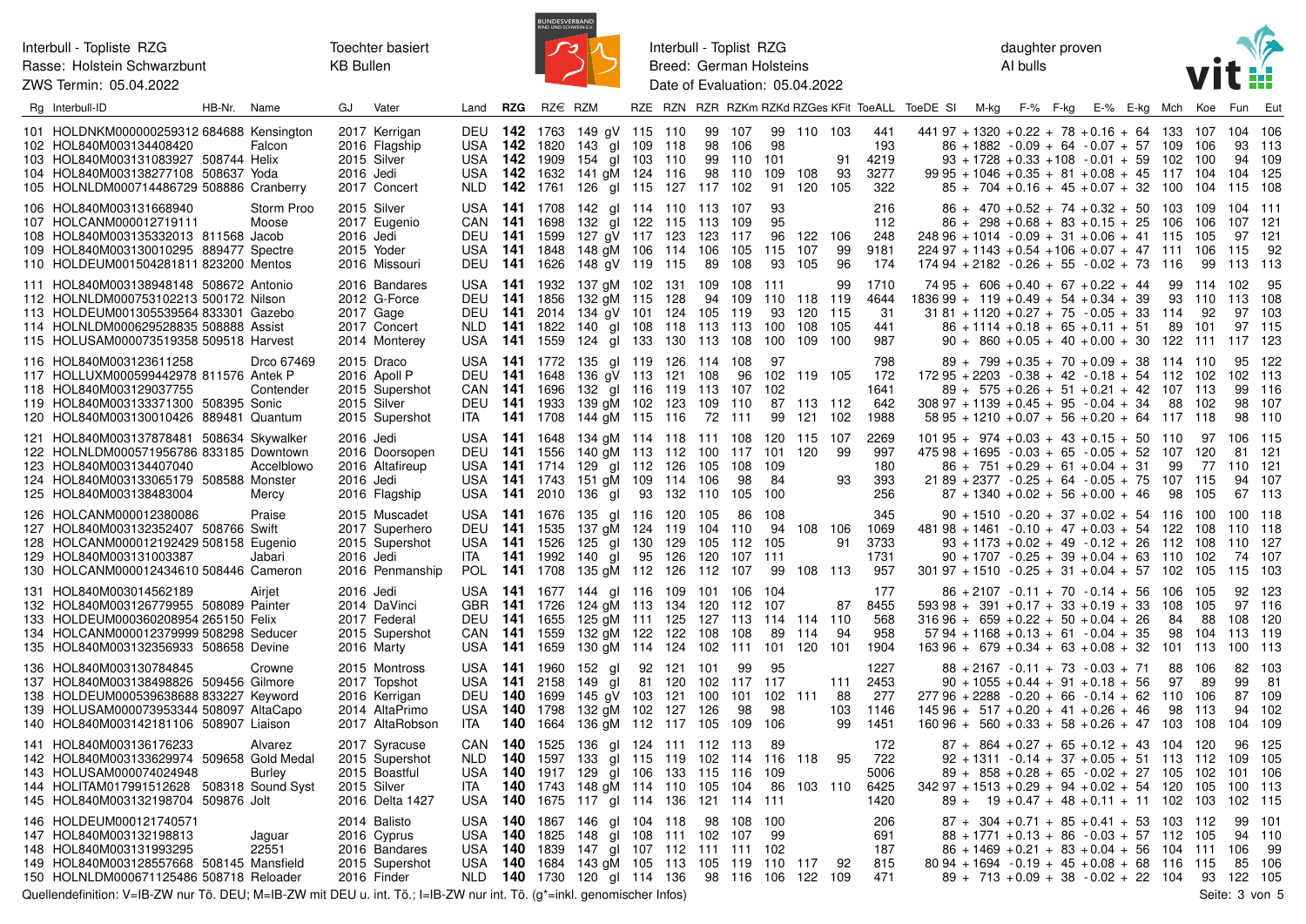Toechter basiert **KB Bullen** 



Interbull - Toplist RZG Breed: German Holsteins Date of Evaluation: 05.04.2022 daughter proven Al bulls



| Rg Interbull-ID                                                                                                                                                                                             | HB-Nr. Name |                          | GJ                      | Vater                                                                               | Land                                   | <b>RZG</b>                                                            | $RZ \in RZM$                                    |                                                                                                                                                      |                |                                     |                                     |                                        |                              |                                      |                        |                                     |        |  | RZE RZN RZR RZKm RZKd RZGes KFit ToeALL ToeDE SI M-kg F-% F-kg E-% E-kg Mch Koe                                                                                                                                                 |                        |                                  | Fun                                      | Eut                                |
|-------------------------------------------------------------------------------------------------------------------------------------------------------------------------------------------------------------|-------------|--------------------------|-------------------------|-------------------------------------------------------------------------------------|----------------------------------------|-----------------------------------------------------------------------|-------------------------------------------------|------------------------------------------------------------------------------------------------------------------------------------------------------|----------------|-------------------------------------|-------------------------------------|----------------------------------------|------------------------------|--------------------------------------|------------------------|-------------------------------------|--------|--|---------------------------------------------------------------------------------------------------------------------------------------------------------------------------------------------------------------------------------|------------------------|----------------------------------|------------------------------------------|------------------------------------|
| 101 HOLDNKM000000259312 684688 Kensington<br>102 HOL840M003134408420<br>103 HOL840M003131083927 508744 Helix<br>104 HOL840M003138277108 508637 Yoda<br>105 HOLNLDM000714486729 508886 Cranberry             |             | Falcon                   | 2016 Jedi               | 2017 Kerrigan<br>2016 Flagship<br>2015 Silver<br>2017 Concert                       | USA<br>USA<br>NLD.                     |                                                                       | USA <b>142</b> 1820<br><b>142</b> 1632          | DEU 142 1763 149 gV 115 110<br>143 gl 109<br><b>142</b> 1909 154 gl 103<br>141 gM 124 116<br><b>142</b> 1761 126 gl 115 127 117 102                  |                | 118<br>110                          |                                     | 99 107<br>98 106<br>99 110<br>98 110   | 98<br>101<br>109<br>91       | 99 110 103<br>108<br>120 105         | 91<br>93               | 441<br>193<br>4219<br>3277<br>322   |        |  | $44197 + 1320 + 0.22 + 78 + 0.16 + 64$ 133<br>$86 + 1882 - 0.09 + 64 - 0.07 + 57$ 109<br>$93 + 1728 + 0.33 + 108 - 0.01 + 59$ 102<br>$99\,95 + 1046 + 0.35 + 81 + 0.08 + 45$ 117<br>$85 + 704 + 0.16 + 45 + 0.07 + 32$ 100      |                        | 107<br>-106<br>100<br>104<br>104 | 104 106<br>93 113<br>94<br>104<br>115    | 109<br>125<br>108                  |
| 106 HOL840M003131668940<br>107 HOLCANM000012719111<br>108 HOL840M003135332013 811568 Jacob<br>109 HOL840M003130010295 889477 Spectre<br>110 HOLDEUM001504281811 823200 Mentos                               |             | Storm Proo<br>Moose      | 2016 Jedi<br>2015 Yoder | 2015 Silver<br>2017 Eugenio<br>2016 Missouri                                        |                                        | CAN 141 1698<br>DEU 141 1599                                          |                                                 | USA 141 1708 142 gl 114 110 113 107<br>132 gl 122 115<br>127 qV 117 123<br>USA 141 1848 148 gM 106<br>DEU 141 1626 148 gV 119 115                    |                | 114                                 | - 113<br>123<br>106<br>89           | 109<br>117<br>105<br>108               | 93<br>95<br>96<br>115<br>93  | 122<br>107<br>105                    | 106<br>99<br>96        | 216<br>112<br>248<br>9181<br>174    |        |  | $86 + 470 + 0.52 + 74 + 0.32 + 50$ 103<br>$86 + 298 + 0.68 + 83 + 0.15 + 25$ 106<br>$24896 + 1014 - 0.09 + 31 + 0.06 + 41$ 115<br>$224.97 + 1143 + 0.54 + 106 + 0.07 + 47$ 111<br>$174.94 + 2182 - 0.26 + 55 - 0.02 + 73$ 116   |                        | 109<br>106<br>105<br>106<br>99   | 104 111<br>107 121<br>97<br>115<br>113   | 121<br>92<br>-113                  |
| 111 HOL840M003138948148 508672 Antonio<br>112 HOLNLDM000753102213 500172 Nilson<br>113 HOLDEUM001305539564 833301 Gazebo<br>114 HOLNLDM000629528835 508888 Assist<br>115 HOLUSAM000073519358 509518 Harvest |             |                          |                         | 2016 Bandares<br>2012 G-Force<br>2017 Gage<br>2017 Concert<br>2014 Monterey         | <b>DEU 141</b><br>NLD.<br>USA          |                                                                       | DEU 141 1856<br>2014                            | USA 141 1932 137 gM 102 131 109 108 111<br>132 gM 115<br>134 gV 101<br><b>141</b> 1822 140 gl 108 118 113 113<br><b>141</b> 1559 124 gl 133 130 113  |                | 128<br>124                          | 94<br>105 119                       | 109<br>108                             | 93<br>100<br>100             | 110 118 119<br>120 115<br>108<br>109 | 99<br>- 105<br>100     | 1710<br>4644<br>31<br>441<br>987    |        |  | $7495 + 606 + 0.40 + 67 + 0.22 + 44$<br>$183699 + 119 + 0.49 + 54 + 0.34 + 39$<br>$31\,81 + 1120 + 0.27 + 75 - 0.05 + 33$ 114<br>$86 + 1114 + 0.18 + 65 + 0.11 + 51$<br>$90 + 860 + 0.05 + 40 + 0.00 + 30$ 122 111 117          | 99<br>93<br>89         | 114 102<br>110<br>92<br>101      | 113<br>97<br>97 115                      | 95<br>108<br>103<br>-123           |
| 116 HOL840M003123611258<br>117 HOLLUXM000599442978 811576 Antek P<br>118 HOL840M003129037755<br>119 HOL840M003133371300 508395 Sonic<br>120 HOL840M003130010426 889481 Quantum                              |             | Drco 67469<br>Contender  |                         | 2015 Draco<br>2016 Apoll P<br>2015 Supershot<br>2015 Silver<br>2015 Supershot       | USA<br>CAN<br>ITA                      | DEU 141 1648<br><b>141</b> 1696                                       | DEU 141 1933<br>141 1708                        | <b>141</b> 1772 135 gl 119<br>136 gV 113<br>132 gl 116 119 113<br>139 gM 102 123<br>144 gM 115 116                                                   |                | 126 114 108<br>121 108              | 109<br>72                           | 96<br>107<br>110<br>111                | 97<br>102<br>102<br>87<br>99 | 119 105<br>113 112<br>121            | 102                    | 798<br>172<br>1641<br>642<br>1988   |        |  | $89 + 799 + 0.35 + 70 + 0.09 + 38$ 114 110<br>$17295 + 2203 - 0.38 + 42 - 0.18 + 54$ 112<br>$89 + 575 + 0.26 + 51 + 0.21 + 42$ 107 113<br>$30897 + 1139 + 0.45 + 95 - 0.04 + 34$<br>$58\,95 + 1210 + 0.07 + 56 + 0.20 + 64$ 117 | 88                     | 102<br>102<br>118                | 95<br>102<br>99<br>98<br>98              | -122<br>113<br>-116<br>-107<br>110 |
| 121 HOL840M003137878481 508634 Skywalker<br>122 HOLNLDM000571956786 833185 Downtown<br>123 HOL840M003134407040<br>124 HOL840M003133065179 508588 Monster<br>125 HOL840M003138483004                         |             | Accelblowo<br>Mercy      | 2016 Jedi<br>2016 Jedi  | 2016 Doorsopen<br>2016 Altafireup<br>2016 Flagship                                  | USA<br>DEU<br>USA.<br>USA.<br>USA      |                                                                       | <b>141</b> 1714<br><b>141</b> 1743              | 141 1648 134 gM 114 118 111 108<br><b>141</b> 1556 140 gM 113 112 100 117 101 120<br>129 gl 112<br>151 gM 109<br><b>141</b> 2010 136 gl 93 132       |                | 126<br>114                          | 105<br>106<br>110                   | 108<br>98<br>105                       | -109<br>84<br>100            | 120 115 107                          | 99<br>93               | 2269<br>997<br>180<br>393<br>256    |        |  | $10195 + 974 + 0.03 + 43 + 0.15 + 50$ 110<br>$475.98 + 1695 - 0.03 + 65 - 0.05 + 52$ 107<br>$86 + 751 + 0.29 + 61 + 0.04 + 31$<br>$2189 + 2377 - 0.25 + 64 - 0.05 + 75$ 107<br>$87 + 1340 + 0.02 + 56 + 0.00 + 46$              | 99<br>98               | 97<br>- 120<br>77<br>115<br>105  | 106 115<br>81 121<br>110<br>94<br>67 113 | -121<br>107                        |
| 126 HOLCANM000012380086<br>127 HOL840M003132352407 508766 Swift<br>128 HOLCANM000012192429 508158 Eugenio<br>129 HOL840M003131003387<br>130 HOLCANM000012434610 508446 Cameron                              |             | Praise<br>Jabari         | 2016 Jedi               | 2015 Muscadet<br>2017 Superhero<br>2015 Supershot<br>2016 Penmanship                | USA<br>ITA.<br><b>POL</b>              | DEU 141 1535<br><b>141</b> 1526                                       | 141 1992                                        | USA 141 1676 135 gl 116 120 105<br>137 gM 124 119<br>125 gl 130<br>140<br>al<br><b>141</b> 1708 135 gM 112 126                                       | 95             | 129<br>126                          | 104<br>105<br>120<br>112            | 86<br>110<br>112 105<br>107 111<br>107 | 108<br>94<br>99              | 108 106<br>108 113                   | 91                     | 345<br>1069<br>3733<br>1731<br>957  |        |  | $90 + 1510 - 0.20 + 37 + 0.02 + 54$ 116<br>$48198 + 1461 - 0.10 + 47 + 0.03 + 54$ 122<br>$93 + 1173 + 0.02 + 49 - 0.12 + 26$ 112<br>$90 + 1707 - 0.25 + 39 + 0.04 + 63$ 110<br>$301\,97 + 1510 - 0.25 + 31 + 0.04 + 57$ 102     |                        | 100<br>108<br>108<br>102<br>105  | 100 118<br>110<br>110<br>74<br>115       | 118<br>127<br>107<br>103           |
| 131 HOL840M003014562189<br>132 HOL840M003126779955 508089 Painter<br>133 HOLDEUM000360208954 265150 Felix<br>134 HOLCANM000012379999 508298 Seducer<br>135 HOL840M003132356933 508658 Devine                |             | Airjet                   | 2016 Jedi               | 2014 DaVinci<br>2017 Federal<br>2015 Supershot<br>2016 Marty                        | USA.<br><b>GBR</b><br>CAN<br>USA       | <b>141</b> 1726<br>DEU 141 1655<br><b>141</b> 1559<br><b>141</b> 1659 | <b>141</b> 1677                                 | 144 gl 116<br>124 gM 113<br>125 gM 111 125<br>132 gM 122 122<br>130 gM 114 124                                                                       |                | 109<br>134                          | 101<br>120<br>127 113<br>108<br>102 | 106<br>112<br>108<br>111               | 104<br>107<br>89<br>101      | 114 114 110<br>114<br>120 101        | 87<br>-94              | 177<br>8455<br>568<br>958<br>1904   |        |  | $86 + 2107 - 0.11 + 70 - 0.14 + 56$<br>$593\,98 + 391 + 0.17 + 33 + 0.19 + 33$<br>$31696 + 659 + 0.22 + 50 + 0.04 + 26$<br>$57\,94 + 1168 + 0.13 + 61 - 0.04 + 35$<br>$163\,96 + 679 + 0.34 + 63 + 0.08 + 32$ 101 113           | 106<br>108<br>84<br>98 | 105<br>105<br>88<br>104          | 92<br>97 116<br>108<br>113<br>100        | 123<br>120<br>119<br>113           |
| 136 HOL840M003130784845<br>137 HOL840M003138498826 509456 Gilmore<br>138 HOLDEUM000539638688 833227 Keyword<br>139 HOLUSAM000073953344 508097 AltaCapo<br>140 HOL840M003142181106 508907 Liaison            |             | Crowne                   |                         | 2015 Montross<br>2017 Topshot<br>2016 Kerrigan<br>2014 AltaPrimo<br>2017 AltaRobson | USA<br>DEU<br><b>USA</b><br><b>ITA</b> | 141 2158<br>140<br>140                                                | USA 141 1960<br>1699<br>1798<br><b>140</b> 1664 | 152 gl<br>149 gl<br>145 gV 103<br>132 gM 102<br>136 gM 112 117 105                                                                                   | 92             | 121 101<br>81 120 102<br>121<br>127 | 100<br>126                          | 99<br>117 117<br>101<br>98<br>109      | 95<br>102<br>98<br>106       | 111                                  | 111<br>88<br>103<br>99 | 1227<br>2453<br>277<br>1146<br>1451 |        |  | $88 + 2167 - 0.11 + 73 - 0.03 + 71$<br>$90 + 1055 + 0.44 + 91 + 0.18 + 56$<br>$27796 + 2288 - 0.20 + 66 - 0.14 + 62$<br>$14596 + 517 + 0.20 + 41 + 0.26 + 46$<br>$16096 + 560 + 0.33 + 58 + 0.26 + 47$ 103                      | 88<br>97<br>110<br>98  | 106<br>89<br>106<br>-113<br>108  | 82<br>99<br>87<br>94<br>104              | -103<br>81<br>109<br>102<br>109    |
| 141 HOL840M003136176233<br>142 HOL840M003133629974 509658 Gold Medal<br>143 HOLUSAM000074024948<br>144 HOLITAM017991512628 508318 Sound Syst<br>145 HOL840M003132198704 509876 Jolt                         |             | Alvarez<br><b>Burley</b> |                         | 2017 Syracuse<br>2015 Supershot<br>2015 Boastful<br>2015 Silver<br>2016 Delta 1427  | NLD.<br>USA.<br>ITA<br>USA             | CAN 140 1525<br>140<br>140                                            | 1597<br>1917                                    | 136 gl 124 111 112 113<br>133<br>129 gl 106<br><b>140</b> 1743 148 gM 114 110 105<br><b>140</b> 1675 117 gl 114 136                                  | gl 115 119 102 | 133                                 | 115<br>121                          | 114<br>116<br>104<br>114 111           | 89<br>116<br>109<br>86       | 118<br>103 110                       | 95                     | 172<br>722<br>5006<br>6425<br>1420  | $89 +$ |  | $87 + 864 + 0.27 + 65 + 0.12 + 43$ 104 120<br>$92 + 1311 - 0.14 + 37 + 0.05 + 51$ 113<br>$89 + 858 + 0.28 + 65 - 0.02 + 27$<br>$34297 + 1513 + 0.29 + 94 + 0.02 + 54$ 120<br>$19 + 0.47 + 48 + 0.11 + 11$ 102                   | 105                    | 112<br>102<br>105<br>103         | 96<br>109<br>101<br>100<br>102           | -125<br>105<br>106<br>-113<br>115  |
| 146 HOLDEUM000121740571<br>147 HOL840M003132198813<br>148 HOL840M003131993295<br>149 HOL840M003128557668 508145 Mansfield<br>150 HOLNLDM000671125486 508718 Reloader                                        |             | Jaguar<br>22551          |                         | 2014 Balisto<br>2016 Cyprus<br>2016 Bandares<br>2015 Supershot<br>2016 Finder       | USA 140<br>USA<br>USA.                 | <b>140</b> 1839                                                       | 1825                                            | USA 140 1867 146 gl 104 118<br>148 gl<br>147 gl 107 112 111 111 102<br><b>140</b> 1684 143 gM 105 113 105 119 110 117<br>NLD 140 1730 120 gl 114 136 | 108            | 111 102                             |                                     | 98 108<br>107<br>98 116 106            | 100<br>99                    | 122 109                              | 92                     | 206<br>691<br>187<br>815<br>471     |        |  | $87 + 304 + 0.71 + 85 + 0.41 + 53$ 103 112<br>$88 + 1771 + 0.13 + 86 - 0.03 + 57$ 112<br>$86 + 1469 + 0.21 + 83 + 0.04 + 56$<br>$80.94 + 1694 - 0.19 + 45 + 0.08 + 68$ 116<br>$89 + 713 + 0.09 + 38 - 0.02 + 22$ 104 93 122     | 104 111                | 105<br>- 115                     | 99<br>94<br>106<br>85                    | 101<br>110<br>99<br>106<br>105     |

Quellendefinition: V=IB-ZW nur Tö. DEU; M=IB-ZW mit DEU u. int. Tö.; I=IB-ZW nur int. Tö. (g\*=inkl. genomischer Infos)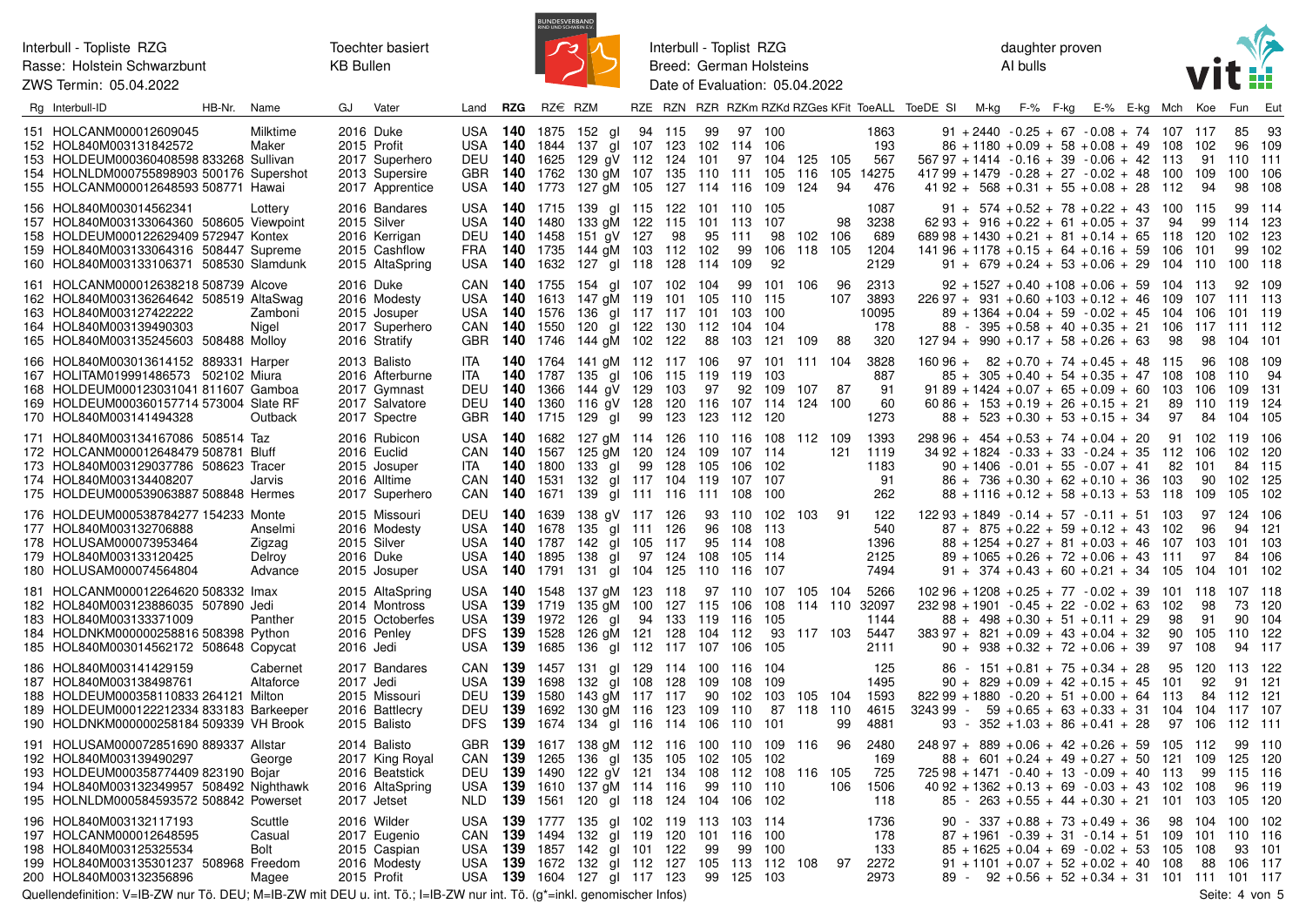

Interbull - Toplist RZG Breed: German Holsteins Date of Evaluation: 05.04.2022 daughter proven AI bulls



| Rg Interbull-ID                                                                                                                                                                                   | HB-Nr. | Name                                   | GJ        | Vater                                                                               | Land                                                     | <b>RZG</b>                    | $RZ \in RZM$                                                                  |                                                                                                                |        |                          |                                 |                                                        |                                  |                               |                 |                                       | RZE RZN RZR RZKm RZKd RZGes KFit ToeALL ToeDE SI | M-kg | F-% F-kg | E-% E-kg Mch                                                                                                                                                                                                     |                                  | Koe                                    | Fun                                   | Eut                               |
|---------------------------------------------------------------------------------------------------------------------------------------------------------------------------------------------------|--------|----------------------------------------|-----------|-------------------------------------------------------------------------------------|----------------------------------------------------------|-------------------------------|-------------------------------------------------------------------------------|----------------------------------------------------------------------------------------------------------------|--------|--------------------------|---------------------------------|--------------------------------------------------------|----------------------------------|-------------------------------|-----------------|---------------------------------------|--------------------------------------------------|------|----------|------------------------------------------------------------------------------------------------------------------------------------------------------------------------------------------------------------------|----------------------------------|----------------------------------------|---------------------------------------|-----------------------------------|
| 151 HOLCANM000012609045<br>152 HOL840M003131842572<br>153 HOLDEUM000360408598 833268 Sullivan<br>154 HOLNLDM000755898903 500176 Supershot<br>155 HOLCANM000012648593 508771 Hawai                 |        | Milktime<br>Maker                      | 2016 Duke | 2015 Profit<br>2017 Superhero<br>2013 Supersire<br>2017 Apprentice                  | USA<br><b>USA</b><br>DEU<br>GBR .<br><b>USA</b>          | 140<br><b>140</b> 1773        | <b>140</b> 1875<br>1844<br><b>140</b> 1625<br><b>140</b> 1762                 | 152 gl<br>137 gl 107<br>129 qV 112 124 101<br>130 gM 107 135 110<br>127 gM 105                                 | 94 115 | 123<br>127 114           | 99<br>102                       | 114 106<br>111<br>116                                  | 97 100<br>97 104<br>105<br>109   | 125 105<br>116 105<br>124     | 94              | 1863<br>193<br>567<br>14275<br>476    |                                                  |      |          | $91 + 2440 - 0.25 + 67 - 0.08 + 74$ 107<br>$86 + 1180 + 0.09 + 58 + 0.08 + 49$<br>$56797 + 1414 - 0.16 + 39 - 0.06 + 42$ 113<br>$41799 + 1479 - 0.28 + 27 - 0.02 + 48$<br>$41\,92 + 568 + 0.31 + 55 + 0.08 + 28$ | 108<br>100<br>112                | 117<br>102<br>91<br>109<br>94          | 85<br>96<br>110<br>100<br>98          | 93<br>109<br>-111<br>106<br>108   |
| 156 HOL840M003014562341<br>157 HOL840M003133064360 508605 Viewpoint<br>158 HOLDEUM000122629409 572947 Kontex<br>159 HOL840M003133064316 508447 Supreme<br>160 HOL840M003133106371 508530 Slamdunk |        | Lottery                                |           | 2016 Bandares<br>2015 Silver<br>2016 Kerrigan<br>2015 Cashflow<br>2015 AltaSpring   | <b>USA</b><br>USA<br><b>DEU</b><br><b>FRA</b>            | 140                           | <b>140</b> 1715<br><b>140</b> 1480<br>1458<br><b>140</b> 1735<br>USA 140 1632 | 139 gl 115<br>133 gM 122 115<br>151 gV 127<br>144 gM 103<br>127 gl 118 128 114                                 |        | 122<br>98<br>112         | 101 110<br>101 113<br>95<br>102 | 111<br>99<br>109                                       | - 105<br>-107<br>98<br>106<br>92 | 102 106<br>118 105            | 98              | 1087<br>3238<br>689<br>1204<br>2129   |                                                  |      |          | $91 + 574 + 0.52 + 78 + 0.22 + 43$ 100<br>$6293 + 916 + 0.22 + 61 + 0.05 + 37$<br>$68998 + 1430 + 0.21 + 81 + 0.14 + 65$<br>$141\,96 + 1178 + 0.15 + 64 + 0.16 + 59$<br>$91 + 679 + 0.24 + 53 + 0.06 + 29$ 104   | 94<br>118<br>106                 | 115<br>99<br>120<br>101<br>110         | 99<br>114 123<br>102<br>99<br>100 118 | -114<br>123<br>102                |
| 161 HOLCANM000012638218 508739 Alcove<br>162 HOL840M003136264642 508519 AltaSwag<br>163 HOL840M003127422222<br>164 HOL840M003139490303<br>165 HOL840M003135245603 508488 Molloy                   |        | Zamboni<br>Nigel                       |           | 2016 Duke<br>2016 Modesty<br>2015 Josuper<br>2017 Superhero<br>2016 Stratify        | USA.<br><b>USA</b><br>CAN                                | 140<br>140                    | CAN 140 1755<br>1613<br><b>140</b> 1576<br>1550<br>GBR 140 1746               | 154 gl 107 102<br>147 gM 119<br>136 gl 117 117<br>120 gl 122 130<br>144 gM 102 122                             |        | 101                      | 104<br>105<br>101<br>112<br>88  | 99<br>110 115<br>103<br>104<br>103                     | 101<br>100<br>-104<br>121        | 106<br>109                    | 96<br>107<br>88 | 2313<br>3893<br>10095<br>178<br>320   |                                                  |      |          | $92 + 1527 + 0.40 + 108 + 0.06 + 59$<br>$22697 + 931 + 0.60 + 103 + 0.12 + 46$<br>$89 + 1364 + 0.04 + 59 - 0.02 + 45$<br>$88 - 395 + 0.58 + 40 + 0.35 + 21$ 106<br>$127.94 + 990 + 0.17 + 58 + 0.26 + 63$        | 104<br>109<br>104<br>98          | 113<br>107<br>106<br>117 111 112<br>98 | 92<br>111 113<br>101 119<br>104       | 109<br>101                        |
| 166 HOL840M003013614152 889331 Harper<br>167 HOLITAM019991486573 502102 Miura<br>168 HOLDEUM000123031041 811607 Gamboa<br>169 HOLDEUM000360157714 573004 Slate RF<br>170 HOL840M003141494328      |        | Outback                                |           | 2013 Balisto<br>2016 Afterburne<br>2017 Gymnast<br>2017 Salvatore<br>2017 Spectre   | <b>ITA</b><br>ita<br><b>DEU 140</b><br><b>DEU</b><br>GBR | 140<br><b>140</b> 1715        | <b>140</b> 1787<br>1366<br>1360                                               | <b>140</b> 1764 141 gM 112 117 106<br>135 gl 106<br>144 gV 129<br>116 aV 128<br>129 gl                         | 99     | 115<br>103<br>120<br>123 | 119<br>97<br>116<br>123         | 119<br>92<br>107 114<br>112                            | 97 101<br>103<br>109<br>120      | 111 104<br>107<br>124 100     | - 87            | 3828<br>887<br>-91<br>60<br>1273      |                                                  |      |          | $16096 + 82 + 0.70 + 74 + 0.45 + 48$ 115<br>$85 + 305 + 0.40 + 54 + 0.35 + 47$<br>$9189 + 1424 + 0.07 + 65 + 0.09 + 60$<br>$60\,86 + 153 + 0.19 + 26 + 0.15 + 21$<br>$88 + 523 + 0.30 + 53 + 0.15 + 34$          | 108<br>103<br>89<br>97           | 96<br>108<br>106<br>110<br>84          | 108<br>110<br>109<br>119<br>104       | 109<br>94<br>-131<br>124<br>105   |
| 171 HOL840M003134167086 508514 Taz<br>172 HOLCANM000012648479 508781 Bluff<br>173 HOL840M003129037786 508623 Tracer<br>174 HOL840M003134408207<br>175 HOLDEUM000539063887 508848 Hermes           |        | Jarvis                                 |           | 2016 Rubicon<br>2016 Euclid<br>2015 Josuper<br>2016 Alltime<br>2017 Superhero       | <b>USA</b><br>CAN<br>ITA.<br>CAN<br>CAN                  | 140<br><b>140</b> 1531        | <b>140</b> 1682<br><b>140</b> 1567<br>1800                                    | 127 gM 114<br>125 gM 120 124 109 107 114<br>133 al<br>132 gl 117 104<br><b>140</b> 1671 139 gl 111 116         | 99     | 126<br>128               | 105<br>119                      | 110 116 108<br>106 102<br>107<br>111 108 100           | 107                              | 112 109                       | 121             | 1393<br>1119<br>1183<br>91<br>262     |                                                  |      |          | $29896 + 454 + 0.53 + 74 + 0.04 + 20$<br>$3492 + 1824 - 0.33 + 33 - 0.24 + 35$ 112<br>$90 + 1406 - 0.01 + 55 - 0.07 + 41$<br>$86 + 736 + 0.30 + 62 + 0.10 + 36$ 103<br>$88 + 1116 + 0.12 + 58 + 0.13 + 53$ 118   | 91<br>-82                        | 102<br>106<br>101<br>90<br>109         | 119<br>102<br>84<br>102<br>105        | - 106<br>120<br>115<br>125<br>102 |
| 176 HOLDEUM000538784277 154233 Monte<br>177 HOL840M003132706888<br>178 HOLUSAM000073953464<br>179 HOL840M003133120425<br>180 HOLUSAM000074564804                                                  |        | Anselmi<br>Zigzag<br>Delroy<br>Advance |           | 2015 Missouri<br>2016 Modesty<br>2015 Silver<br>2016 Duke<br>2015 Josuper           | USA<br>USA<br>USA<br>USA                                 | 140<br><b>140</b> 1787        | DEU 140 1639<br>1678<br><b>140</b> 1895                                       | 138 gV 117 126<br>135 gl 111 126<br>142 gl 105<br>138 gl<br><b>140</b> 1791 131 gl 104 125                     | 97 124 | 117                      | 96<br>95<br>108<br>110          | 93 110 102 103<br>108 113<br>114 108<br>105 114<br>116 | 107                              |                               | -91             | 122<br>540<br>1396<br>2125<br>7494    |                                                  |      |          | $12293 + 1849 - 0.14 + 57 - 0.11 + 51$ 103<br>$87 + 875 + 0.22 + 59 + 0.12 + 43$<br>$88 + 1254 + 0.27 + 81 + 0.03 + 46$<br>$89 + 1065 + 0.26 + 72 + 0.06 + 43$ 111<br>$91 + 374 + 0.43 + 60 + 0.21 + 34$ 105     | 102<br>107                       | 96<br>103<br>97<br>104                 | 97 124<br>94<br>101<br>84<br>101      | 106<br>121<br>103<br>106<br>102   |
| 181 HOLCANM000012264620 508332 Imax<br>182 HOL840M003123886035 507890 Jedi<br>183 HOL840M003133371009<br>184 HOLDNKM000000258816 508398 Python<br>185 HOL840M003014562172 508648 Copycat          |        | Panther                                | 2016 Jedi | 2015 AltaSpring<br>2014 Montross<br>2015 Octoberfes<br>2016 Penley                  | USA<br><b>USA</b><br>USA<br>DFS<br><b>USA</b>            | <b>139</b> 1719<br>139<br>139 | 1972<br><b>139</b> 1528<br>1685                                               | <b>140</b> 1548 137 gM 123 118<br>135 aM 100<br>126 gl 94<br>126 gM 121 128<br>136 gl 112 117                  |        | 127<br>133               | 115<br>119<br>104<br>107        | 97 110<br>106<br>116<br>112<br>106                     | 107<br>108<br>105<br>93<br>105   | 105 104<br>114 110<br>117 103 |                 | 5266<br>32097<br>1144<br>5447<br>2111 |                                                  |      |          | $10296 + 1208 + 0.25 + 77 - 0.02 + 39$<br>$23298 + 1901 - 0.45 + 22 - 0.02 + 63$<br>$88 + 498 + 0.30 + 51 + 0.11 + 29$<br>$383\,97 + 821 + 0.09 + 43 + 0.04 + 32$<br>$90 + 938 + 0.32 + 72 + 0.06 + 39$          | 101<br>102<br>98<br>90<br>97     | 118<br>98<br>91<br>105<br>108          | 107 118<br>73<br>90<br>110<br>94      | 120<br>104<br>122<br>117          |
| 186 HOL840M003141429159<br>187 HOL840M003138498761<br>188 HOLDEUM000358110833 264121 Milton<br>189 HOLDEUM000122212334 833183 Barkeeper<br>190 HOLDNKM000000258184 509339 VH Brook                |        | Cabernet<br>Altaforce                  | 2017 Jedi | 2017 Bandares<br>2015 Missouri<br>2016 Battlecry<br>2015 Balisto                    | CAN<br>USA<br><b>DEU</b><br>DEU<br><b>DFS</b>            | 139<br>139<br>139             | <b>139</b> 1457<br>1698<br>1580<br>1692<br><b>139</b> 1674                    | 131 gl 129 114 100 116 104<br>132 gl 108 128<br>143 gM 117 117<br>130 gM 116 123<br>134 gl 116 114 106 110 101 |        |                          | 109<br>90<br>109                | 108<br>102<br>110                                      | 109<br>103<br>87                 | 105 104<br>118 110            | 99              | 125<br>1495<br>1593<br>4615<br>4881   |                                                  |      |          | $86 - 151 + 0.81 + 75 + 0.34 + 28$<br>$90 + 829 + 0.09 + 42 + 0.15 + 45$<br>$82299 + 1880 - 0.20 + 51 + 0.00 + 64$ 113<br>$324399 - 59 + 0.65 + 63 + 0.33 + 31$ 104<br>$93 - 352 + 1.03 + 86 + 0.41 + 28$        | 95<br>101<br>97                  | 120<br>92<br>84<br>104<br>106          | 113 122<br>112 121<br>117<br>112 111  | 91 121<br>107                     |
| 191 HOLUSAM000072851690 889337 Allstar<br>192 HOL840M003139490297<br>193 HOLDEUM000358774409 823190 Bojar<br>194 HOL840M003132349957 508492 Nighthawk<br>195 HOLNLDM000584593572 508842 Powerset  |        | George                                 |           | 2014 Balisto<br>2017 King Royal<br>2016 Beatstick<br>2016 AltaSpring<br>2017 Jetset | GBR 139<br>CAN<br>DEU<br>USA<br>NLD.                     | 139<br>139                    | 1265<br><b>139</b> 1490<br><b>139</b> 1561                                    | 1617 138 gM 112 116 100 110 109 116<br>136 gl 135<br>122 aV 121<br>1610 137 gM 114 116<br>120 gl 118 124 104   |        | 105<br>134               | 102<br>108<br>99                | 105<br>112<br>110 110<br>106                           | 102<br>108<br>102                | 116 105                       | -96<br>106      | 2480<br>169<br>725<br>1506<br>118     |                                                  |      |          | $24897 + 889 + 0.06 + 42 + 0.26 + 59$<br>$88 + 601 + 0.24 + 49 + 0.27 + 50$<br>$72598 + 1471 - 0.40 + 13 - 0.09 + 40$<br>$4092 + 1362 + 0.13 + 69 - 0.03 + 43$<br>$85 - 263 + 0.55 + 44 + 0.30 + 21$             | 105<br>-121<br>113<br>102<br>101 | 112<br>109<br>99<br>108<br>103         | 99<br>125<br>115<br>96<br>105         | 110<br>120<br>116<br>119<br>120   |
| 196 HOL840M003132117193<br>197 HOLCANM000012648595<br>198 HOL840M003125325534<br>199 HOL840M003135301237 508968 Freedom<br>200 HOL840M003132356896                                                |        | Scuttle<br>Casual<br>Bolt<br>Magee     |           | 2016 Wilder<br>2017 Eugenio<br>2015 Caspian<br>2016 Modesty<br>2015 Profit          | USA<br>CAN<br>USA.<br>USA                                | 139                           | <b>139</b> 1777<br><b>139</b> 1494<br>1857                                    | 135 gl 102 119<br>132<br>142 gl 101 122<br><b>139</b> 1672 132 gl 112 127<br>USA 139 1604 127 gl 117 123       | al 119 | 120                      | 113<br>101<br>99<br>105<br>99   | 103 114<br>116<br>99<br>113 112<br>125                 | 100<br>100<br>103                | 108                           | 97              | 1736<br>178<br>133<br>2272<br>2973    |                                                  |      |          | $90 - 337 + 0.88 + 73 + 0.49 + 36$<br>$87 + 1961 - 0.39 + 31 - 0.14 + 51$<br>$85 + 1625 + 0.04 + 69 - 0.02 + 53$<br>$91 + 1101 + 0.07 + 52 + 0.02 + 40$<br>$89 - 92 + 0.56 + 52 + 0.34 + 31$ 101 111 101 117     | 98<br>109<br>105<br>108          | 104<br>101<br>108<br>88                | 100<br>110<br>93<br>106               | 102<br>116<br>101<br>- 117        |

Quellendefinition: V=IB-ZW nur Tö. DEU; M=IB-ZW mit DEU u. int. Tö.; I=IB-ZW nur int. Tö. (g\*=inkl. genomischer Infos) Seite: 4 von 5